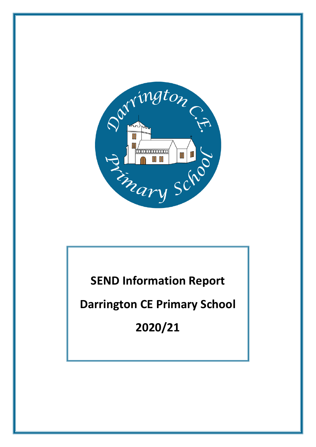

**SEND Information Report**

**Darrington CE Primary School**

**2020/21**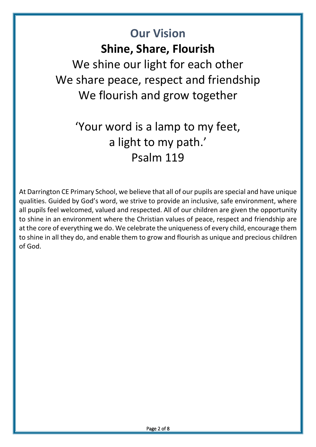# **Our Vision Shine, Share, Flourish**  We shine our light for each other We share peace, respect and friendship We flourish and grow together

# 'Your word is a lamp to my feet, a light to my path.' Psalm 119

At Darrington CE Primary School, we believe that all of our pupils are special and have unique qualities. Guided by God's word, we strive to provide an inclusive, safe environment, where all pupils feel welcomed, valued and respected. All of our children are given the opportunity to shine in an environment where the Christian values of peace, respect and friendship are at the core of everything we do. We celebrate the uniqueness of every child, encourage them to shine in all they do, and enable them to grow and flourish as unique and precious children of God.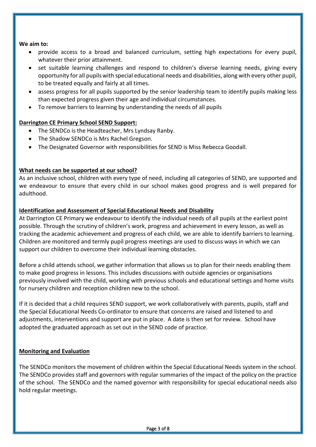#### **We aim to:**

- provide access to a broad and balanced curriculum, setting high expectations for every pupil, whatever their prior attainment.
- set suitable learning challenges and respond to children's diverse learning needs, giving every opportunity for all pupils with special educational needs and disabilities, along with every other pupil, to be treated equally and fairly at all times.
- assess progress for all pupils supported by the senior leadership team to identify pupils making less than expected progress given their age and individual circumstances.
- To remove barriers to learning by understanding the needs of all pupils

# **Darrington CE Primary School SEND Support:**

- The SENDCo is the Headteacher, Mrs Lyndsay Ranby.
- The Shadow SENDCo is Mrs Rachel Gregson.
- The Designated Governor with responsibilities for SEND is Miss Rebecca Goodall.

# **What needs can be supported at our school?**

As an inclusive school, children with every type of need, including all categories of SEND, are supported and we endeavour to ensure that every child in our school makes good progress and is well prepared for adulthood.

# **Identification and Assessment of Special Educational Needs and Disability**

At Darrington CE Primary we endeavour to identify the individual needs of all pupils at the earliest point possible. Through the scrutiny of children's work, progress and achievement in every lesson, as well as tracking the academic achievement and progress of each child, we are able to identify barriers to learning. Children are monitored and termly pupil progress meetings are used to discuss ways in which we can support our children to overcome their individual learning obstacles.

Before a child attends school, we gather information that allows us to plan for their needs enabling them to make good progress in lessons. This includes discussions with outside agencies or organisations previously involved with the child, working with previous schools and educational settings and home visits for nursery children and reception children new to the school.

If it is decided that a child requires SEND support, we work collaboratively with parents, pupils, staff and the Special Educational Needs Co-ordinator to ensure that concerns are raised and listened to and adjustments, interventions and support are put in place. A date is then set for review. School have adopted the graduated approach as set out in the SEND code of practice.

# **Monitoring and Evaluation**

İ

The SENDCo monitors the movement of children within the Special Educational Needs system in the school. The SENDCo provides staff and governors with regular summaries of the impact of the policy on the practice of the school. The SENDCo and the named governor with responsibility for special educational needs also hold regular meetings.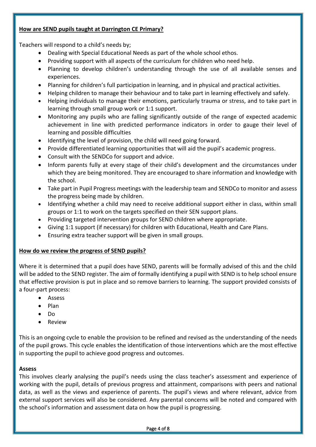# **How are SEND pupils taught at Darrington CE Primary?**

Teachers will respond to a child's needs by;

- Dealing with Special Educational Needs as part of the whole school ethos.
- Providing support with all aspects of the curriculum for children who need help.
- Planning to develop children's understanding through the use of all available senses and experiences.
- Planning for children's full participation in learning, and in physical and practical activities.
- Helping children to manage their behaviour and to take part in learning effectively and safely.
- Helping individuals to manage their emotions, particularly trauma or stress, and to take part in learning through small group work or 1:1 support.
- Monitoring any pupils who are falling significantly outside of the range of expected academic achievement in line with predicted performance indicators in order to gauge their level of learning and possible difficulties
- Identifying the level of provision, the child will need going forward.
- Provide differentiated learning opportunities that will aid the pupil's academic progress.
- Consult with the SENDCo for support and advice.
- Inform parents fully at every stage of their child's development and the circumstances under which they are being monitored. They are encouraged to share information and knowledge with the school.
- Take part in Pupil Progress meetings with the leadership team and SENDCo to monitor and assess the progress being made by children.
- Identifying whether a child may need to receive additional support either in class, within small groups or 1:1 to work on the targets specified on their SEN support plans.
- Providing targeted intervention groups for SEND children where appropriate.
- Giving 1:1 support (if necessary) for children with Educational, Health and Care Plans.
- Ensuring extra teacher support will be given in small groups.

#### **How do we review the progress of SEND pupils?**

Where it is determined that a pupil does have SEND, parents will be formally advised of this and the child will be added to the SEND register. The aim of formally identifying a pupil with SEND is to help school ensure that effective provision is put in place and so remove barriers to learning. The support provided consists of a four-part process:

- Assess
- $\bullet$  Plan
- Do
- **•** Review

This is an ongoing cycle to enable the provision to be refined and revised as the understanding of the needs of the pupil grows. This cycle enables the identification of those interventions which are the most effective in supporting the pupil to achieve good progress and outcomes.

#### **Assess**

İ

This involves clearly analysing the pupil's needs using the class teacher's assessment and experience of working with the pupil, details of previous progress and attainment, comparisons with peers and national data, as well as the views and experience of parents. The pupil's views and where relevant, advice from external support services will also be considered. Any parental concerns will be noted and compared with the school's information and assessment data on how the pupil is progressing.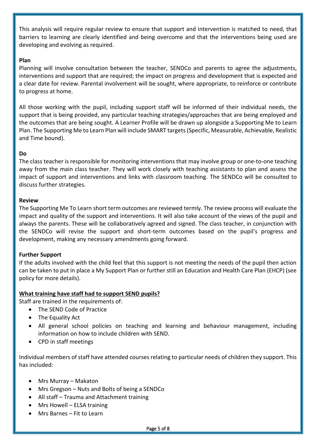This analysis will require regular review to ensure that support and intervention is matched to need, that barriers to learning are clearly identified and being overcome and that the interventions being used are developing and evolving as required.

### **Plan**

Planning will involve consultation between the teacher, SENDCo and parents to agree the adjustments, interventions and support that are required; the impact on progress and development that is expected and a clear date for review. Parental involvement will be sought, where appropriate, to reinforce or contribute to progress at home.

All those working with the pupil, including support staff will be informed of their individual needs, the support that is being provided, any particular teaching strategies/approaches that are being employed and the outcomes that are being sought. A Learner Profile will be drawn up alongside a Supporting Me to Learn Plan. The Supporting Me to Learn Plan will include SMART targets(Specific, Measurable, Achievable, Realistic and Time bound).

#### **Do**

The class teacher is responsible for monitoring interventions that may involve group or one-to-one teaching away from the main class teacher. They will work closely with teaching assistants to plan and assess the impact of support and interventions and links with classroom teaching. The SENDCo will be consulted to discuss further strategies.

#### **Review**

The Supporting Me To Learn short term outcomes are reviewed termly. The review process will evaluate the impact and quality of the support and interventions. It will also take account of the views of the pupil and always the parents. These will be collaboratively agreed and signed. The class teacher, in conjunction with the SENDCo will revise the support and short-term outcomes based on the pupil's progress and development, making any necessary amendments going forward.

#### **Further Support**

If the adults involved with the child feel that this support is not meeting the needs of the pupil then action can be taken to put in place a My Support Plan or further still an Education and Health Care Plan (EHCP) (see policy for more details).

#### **What training have staff had to support SEND pupils?**

Staff are trained in the requirements of:

- The SEND Code of Practice
- The Equality Act
- All general school policies on teaching and learning and behaviour management, including information on how to include children with SEND.
- CPD in staff meetings

Individual members of staff have attended courses relating to particular needs of children they support. This has included:

- Mrs Murray Makaton
- Mrs Gregson Nuts and Bolts of being a SENDCo
- All staff Trauma and Attachment training
- Mrs Howell ELSA training
- Mrs Barnes Fit to Learn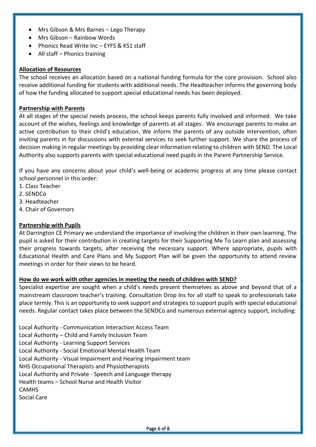- Mrs Gibson & Mrs Barnes Lego Therapy
- Mrs Gibson Rainbow Words
- Phonics Read Write Inc EYFS & KS1 staff
- All staff Phonics training

#### **Allocation of Resources**

The school receives an allocation based on a national funding formula for the core provision. School also receive additional funding for students with additional needs. The Headteacher informs the governing body of how the funding allocated to support special educational needs has been deployed.

#### **Partnership with Parents**

At all stages of the special needs process, the school keeps parents fully involved and informed. We take account of the wishes, feelings and knowledge of parents at all stages. We encourage parents to make an active contribution to their child's education. We inform the parents of any outside intervention, often inviting parents in for discussions with external services to seek further support. We share the process of decision making in regular meetings by providing clear information relating to children with SEND. The Local Authority also supports parents with special educational need pupils in the Parent Partnership Service.

If you have any concerns about your child's well-being or academic progress at any time please contact school personnel in this order:

- 1. Class Teacher
- 2. SENDCo

İ

- 3. Headteacher
- 4. Chair of Governors

#### **Partnership with Pupils**

At Darrington CE Primary we understand the importance of involving the children in their own learning. The pupil is asked for their contribution in creating targets for their Supporting Me To Learn plan and assessing their progress towards targets, after receiving the necessary support. Where appropriate, pupils with Educational Health and Care Plans and My Support Plan will be given the opportunity to attend review meetings in order for their views to be heard.

#### **How do we work with other agencies in meeting the needs of children with SEND?**

Specialist expertise are sought when a child's needs present themselves as above and beyond that of a mainstream classroom teacher's training. Consultation Drop Ins for all staff to speak to professionals take place termly. This is an opportunity to seek support and strategies to support pupils with special educational needs. Regular contact takes place between the SENDCo and numerous external agency support, including:

Local Authority - Communication Interaction Access Team Local Authority – Child and Family Inclusion Team Local Authority - Learning Support Services Local Authority - Social Emotional Mental Health Team Local Authority - Visual Impairment and Hearing Impairment team NHS Occupational Therapists and Physiotherapists Local Authority and Private - Speech and Language therapy Health teams – School Nurse and Health Visitor **CAMHS** Social Care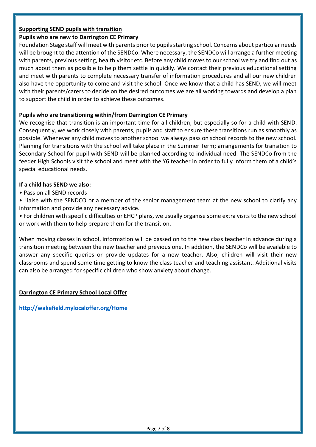# **Supporting SEND pupils with transition**

**Pupils who are new to Darrington CE Primary**

Foundation Stage staff will meet with parents prior to pupils starting school. Concerns about particular needs will be brought to the attention of the SENDCo. Where necessary, the SENDCo will arrange a further meeting with parents, previous setting, health visitor etc. Before any child moves to our school we try and find out as much about them as possible to help them settle in quickly. We contact their previous educational setting and meet with parents to complete necessary transfer of information procedures and all our new children also have the opportunity to come and visit the school. Once we know that a child has SEND, we will meet with their parents/carers to decide on the desired outcomes we are all working towards and develop a plan to support the child in order to achieve these outcomes.

# **Pupils who are transitioning within/from Darrington CE Primary**

We recognise that transition is an important time for all children, but especially so for a child with SEND. Consequently, we work closely with parents, pupils and staff to ensure these transitions run as smoothly as possible. Whenever any child moves to another school we always pass on school records to the new school. Planning for transitions with the school will take place in the Summer Term; arrangements for transition to Secondary School for pupil with SEND will be planned according to individual need. The SENDCo from the feeder High Schools visit the school and meet with the Y6 teacher in order to fully inform them of a child's special educational needs.

# **If a child has SEND we also:**

• Pass on all SEND records

• Liaise with the SENDCO or a member of the senior management team at the new school to clarify any information and provide any necessary advice.

• For children with specific difficulties or EHCP plans, we usually organise some extra visits to the new school or work with them to help prepare them for the transition.

When moving classes in school, information will be passed on to the new class teacher in advance during a transition meeting between the new teacher and previous one. In addition, the SENDCo will be available to answer any specific queries or provide updates for a new teacher. Also, children will visit their new classrooms and spend some time getting to know the class teacher and teaching assistant. Additional visits can also be arranged for specific children who show anxiety about change.

# **Darrington CE Primary School Local Offer**

**<http://wakefield.mylocaloffer.org/Home>**